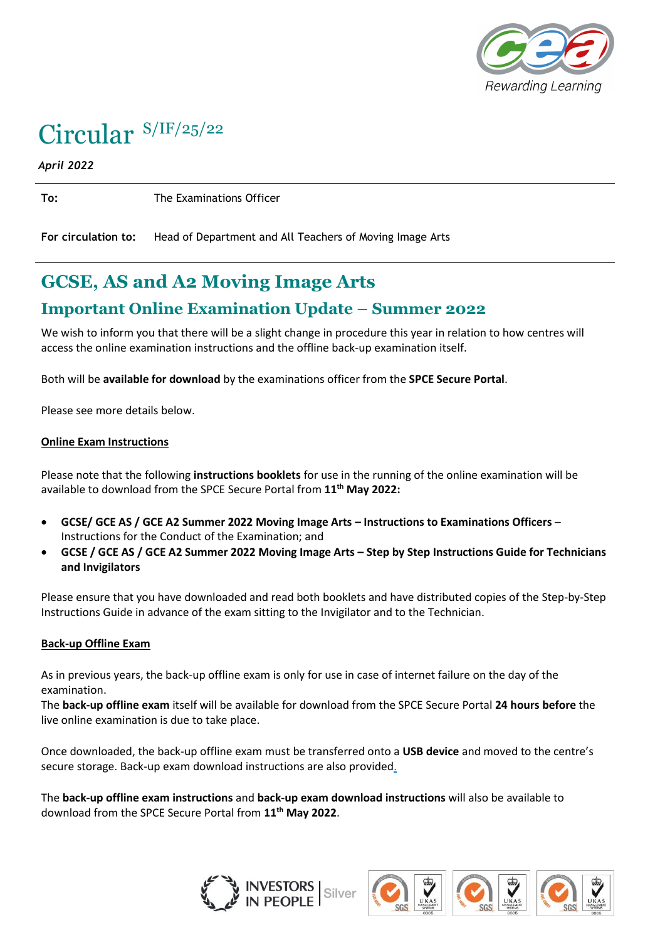

# Circular S/IF/25/22

*April 2022*

**To:** The Examinations Officer

**For circulation to:** Head of Department and All Teachers of Moving Image Arts

## **GCSE, AS and A2 Moving Image Arts**

### **Important Online Examination Update – Summer 2022**

We wish to inform you that there will be a slight change in procedure this year in relation to how centres will access the online examination instructions and the offline back-up examination itself.

Both will be **available for download** by the examinations officer from the **SPCE Secure Portal**.

Please see more details below.

#### **Online Exam Instructions**

Please note that the following **instructions booklets** for use in the running of the online examination will be available to download from the SPCE Secure Portal from **11 th May 2022:**

- **GCSE/ GCE AS / GCE A2 Summer 2022 Moving Image Arts – Instructions to Examinations Officers** Instructions for the Conduct of the Examination; and
- **GCSE / GCE AS / GCE A2 Summer 2022 Moving Image Arts – Step by Step Instructions Guide for Technicians and Invigilators**

Please ensure that you have downloaded and read both booklets and have distributed copies of the Step-by-Step Instructions Guide in advance of the exam sitting to the Invigilator and to the Technician.

#### **Back-up Offline Exam**

As in previous years, the back-up offline exam is only for use in case of internet failure on the day of the examination.

The **back-up offline exam** itself will be available for download from the SPCE Secure Portal **24 hours before** the live online examination is due to take place.

Once downloaded, the back-up offline exam must be transferred onto a **USB device** and moved to the centre's secure storage. Back-up exam download instructions are also provided.

The **back-up offline exam instructions** and **back-up exam download instructions** will also be available to download from the SPCE Secure Portal from **11 th May 2022**.